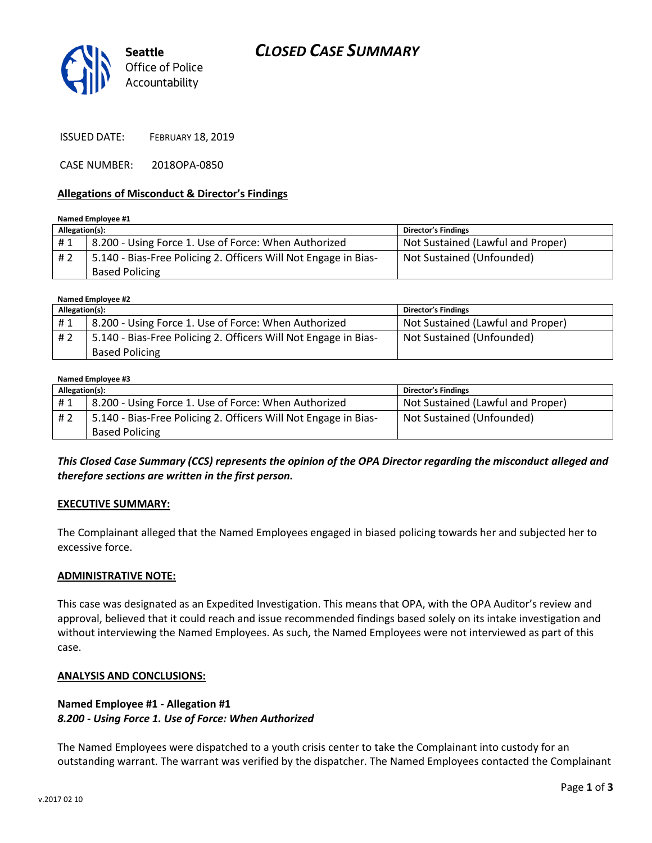



ISSUED DATE: FEBRUARY 18, 2019

CASE NUMBER: 2018OPA-0850

#### **Allegations of Misconduct & Director's Findings**

**Named Employee #1**

| Allegation(s): |                                                                 | <b>Director's Findings</b>        |
|----------------|-----------------------------------------------------------------|-----------------------------------|
| #1             | 8.200 - Using Force 1. Use of Force: When Authorized            | Not Sustained (Lawful and Proper) |
| # 2            | 5.140 - Bias-Free Policing 2. Officers Will Not Engage in Bias- | Not Sustained (Unfounded)         |
|                | <b>Based Policing</b>                                           |                                   |

**Named Employee #2**

| Allegation(s): |                                                                 | <b>Director's Findings</b>        |
|----------------|-----------------------------------------------------------------|-----------------------------------|
| #1             | 8.200 - Using Force 1. Use of Force: When Authorized            | Not Sustained (Lawful and Proper) |
| #2             | 5.140 - Bias-Free Policing 2. Officers Will Not Engage in Bias- | Not Sustained (Unfounded)         |
|                | <b>Based Policing</b>                                           |                                   |

#### **Named Employee #3**

| Allegation(s): |                                                                 | <b>Director's Findings</b>        |
|----------------|-----------------------------------------------------------------|-----------------------------------|
| #1             | 8.200 - Using Force 1. Use of Force: When Authorized            | Not Sustained (Lawful and Proper) |
| # 2            | 5.140 - Bias-Free Policing 2. Officers Will Not Engage in Bias- | Not Sustained (Unfounded)         |
|                | <b>Based Policing</b>                                           |                                   |

*This Closed Case Summary (CCS) represents the opinion of the OPA Director regarding the misconduct alleged and therefore sections are written in the first person.* 

#### **EXECUTIVE SUMMARY:**

The Complainant alleged that the Named Employees engaged in biased policing towards her and subjected her to excessive force.

#### **ADMINISTRATIVE NOTE:**

This case was designated as an Expedited Investigation. This means that OPA, with the OPA Auditor's review and approval, believed that it could reach and issue recommended findings based solely on its intake investigation and without interviewing the Named Employees. As such, the Named Employees were not interviewed as part of this case.

#### **ANALYSIS AND CONCLUSIONS:**

### **Named Employee #1 - Allegation #1** *8.200 - Using Force 1. Use of Force: When Authorized*

The Named Employees were dispatched to a youth crisis center to take the Complainant into custody for an outstanding warrant. The warrant was verified by the dispatcher. The Named Employees contacted the Complainant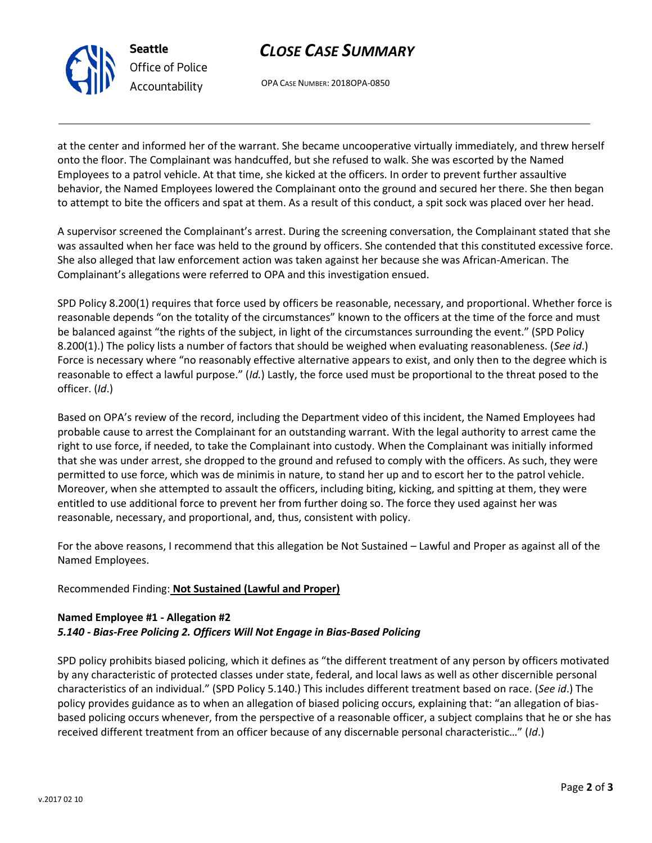

**Seattle** *Office of Police Accountability*

OPA CASE NUMBER: 2018OPA-0850

at the center and informed her of the warrant. She became uncooperative virtually immediately, and threw herself onto the floor. The Complainant was handcuffed, but she refused to walk. She was escorted by the Named Employees to a patrol vehicle. At that time, she kicked at the officers. In order to prevent further assaultive behavior, the Named Employees lowered the Complainant onto the ground and secured her there. She then began to attempt to bite the officers and spat at them. As a result of this conduct, a spit sock was placed over her head.

A supervisor screened the Complainant's arrest. During the screening conversation, the Complainant stated that she was assaulted when her face was held to the ground by officers. She contended that this constituted excessive force. She also alleged that law enforcement action was taken against her because she was African-American. The Complainant's allegations were referred to OPA and this investigation ensued.

SPD Policy 8.200(1) requires that force used by officers be reasonable, necessary, and proportional. Whether force is reasonable depends "on the totality of the circumstances" known to the officers at the time of the force and must be balanced against "the rights of the subject, in light of the circumstances surrounding the event." (SPD Policy 8.200(1).) The policy lists a number of factors that should be weighed when evaluating reasonableness. (*See id*.) Force is necessary where "no reasonably effective alternative appears to exist, and only then to the degree which is reasonable to effect a lawful purpose." (*Id.*) Lastly, the force used must be proportional to the threat posed to the officer. (*Id*.)

Based on OPA's review of the record, including the Department video of this incident, the Named Employees had probable cause to arrest the Complainant for an outstanding warrant. With the legal authority to arrest came the right to use force, if needed, to take the Complainant into custody. When the Complainant was initially informed that she was under arrest, she dropped to the ground and refused to comply with the officers. As such, they were permitted to use force, which was de minimis in nature, to stand her up and to escort her to the patrol vehicle. Moreover, when she attempted to assault the officers, including biting, kicking, and spitting at them, they were entitled to use additional force to prevent her from further doing so. The force they used against her was reasonable, necessary, and proportional, and, thus, consistent with policy.

For the above reasons, I recommend that this allegation be Not Sustained – Lawful and Proper as against all of the Named Employees.

## Recommended Finding: **Not Sustained (Lawful and Proper)**

## **Named Employee #1 - Allegation #2** *5.140 - Bias-Free Policing 2. Officers Will Not Engage in Bias-Based Policing*

SPD policy prohibits biased policing, which it defines as "the different treatment of any person by officers motivated by any characteristic of protected classes under state, federal, and local laws as well as other discernible personal characteristics of an individual." (SPD Policy 5.140.) This includes different treatment based on race. (*See id*.) The policy provides guidance as to when an allegation of biased policing occurs, explaining that: "an allegation of biasbased policing occurs whenever, from the perspective of a reasonable officer, a subject complains that he or she has received different treatment from an officer because of any discernable personal characteristic…" (*Id*.)